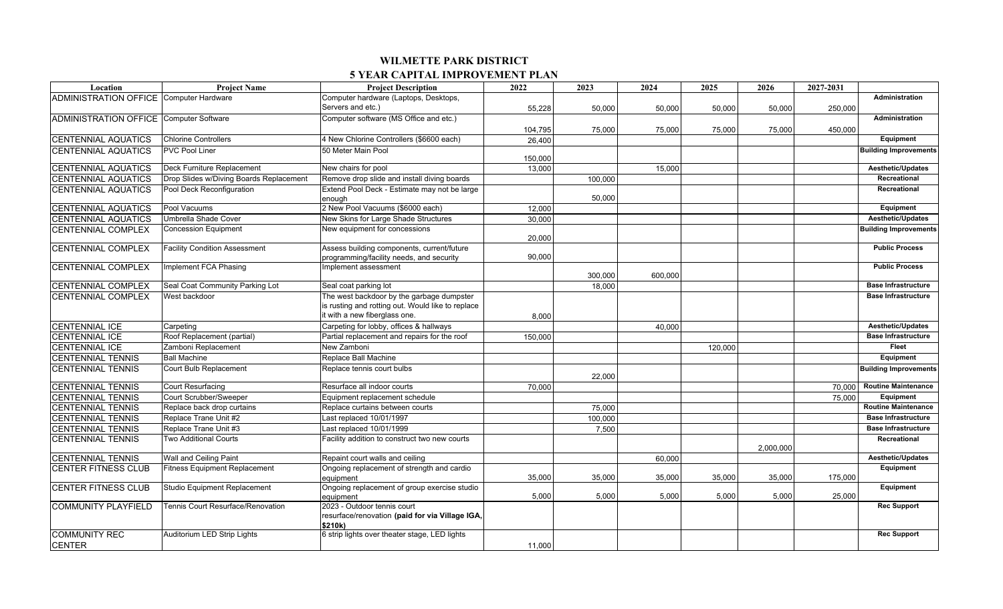| Location                                       | <b>Project Name</b>                     | <b>Project Description</b>                              | 2022    | 2023    | 2024    | 2025    | 2026      | 2027-2031 |                                |
|------------------------------------------------|-----------------------------------------|---------------------------------------------------------|---------|---------|---------|---------|-----------|-----------|--------------------------------|
| <b>ADMINISTRATION OFFICE Computer Hardware</b> |                                         | Computer hardware (Laptops, Desktops,                   |         |         |         |         |           |           | Administration                 |
|                                                |                                         | Servers and etc.)                                       | 55,228  | 50,000  | 50.000  | 50,000  | 50,000    | 250,000   |                                |
| <b>ADMINISTRATION OFFICE Computer Software</b> |                                         | Computer software (MS Office and etc.)                  |         |         |         |         |           |           | Administration                 |
|                                                |                                         |                                                         | 104,795 | 75,000  | 75,000  | 75,000  | 75,000    | 450,000   |                                |
| <b>CENTENNIAL AQUATICS</b>                     | <b>Chlorine Controllers</b>             | 4 New Chlorine Controllers (\$6600 each)                | 26,400  |         |         |         |           |           | Equipment                      |
| <b>CENTENNIAL AQUATICS</b>                     | <b>PVC Pool Liner</b>                   | 50 Meter Main Pool                                      |         |         |         |         |           |           | <b>Building Improvements</b>   |
|                                                |                                         |                                                         | 150,000 |         |         |         |           |           |                                |
| <b>CENTENNIAL AQUATICS</b>                     | Deck Furniture Replacement              | New chairs for pool                                     | 13,000  |         | 15.000  |         |           |           | <b>Aesthetic/Updates</b>       |
| <b>CENTENNIAL AQUATICS</b>                     | Drop Slides w/Diving Boards Replacement | Remove drop slide and install diving boards             |         | 100.000 |         |         |           |           | Recreational                   |
| <b>CENTENNIAL AQUATICS</b>                     | Pool Deck Reconfiguration               | Extend Pool Deck - Estimate may not be large            |         |         |         |         |           |           | Recreational                   |
|                                                | Pool Vacuums                            | enouah<br>2 New Pool Vacuums (\$6000 each)              |         | 50.000  |         |         |           |           |                                |
| <b>CENTENNIAL AQUATICS</b>                     |                                         |                                                         | 12,000  |         |         |         |           |           | Equipment<br>Aesthetic/Updates |
| <b>CENTENNIAL AQUATICS</b>                     | Umbrella Shade Cover                    | New Skins for Large Shade Structures                    | 30,000  |         |         |         |           |           |                                |
| <b>CENTENNIAL COMPLEX</b>                      | <b>Concession Equipment</b>             | New equipment for concessions                           | 20,000  |         |         |         |           |           | <b>Building Improvements</b>   |
| <b>CENTENNIAL COMPLEX</b>                      | <b>Facility Condition Assessment</b>    | Assess building components, current/future              |         |         |         |         |           |           | <b>Public Process</b>          |
|                                                |                                         | programming/facility needs, and security                | 90,000  |         |         |         |           |           |                                |
| <b>CENTENNIAL COMPLEX</b>                      | Implement FCA Phasing                   | Implement assessment                                    |         |         |         |         |           |           | <b>Public Process</b>          |
|                                                |                                         |                                                         |         | 300,000 | 600.000 |         |           |           |                                |
| <b>CENTENNIAL COMPLEX</b>                      | Seal Coat Community Parking Lot         | Seal coat parking lot                                   |         | 18.000  |         |         |           |           | <b>Base Infrastructure</b>     |
| <b>CENTENNIAL COMPLEX</b>                      | West backdoor                           | The west backdoor by the garbage dumpster               |         |         |         |         |           |           | <b>Base Infrastructure</b>     |
|                                                |                                         | is rusting and rotting out. Would like to replace       |         |         |         |         |           |           |                                |
|                                                |                                         | it with a new fiberglass one.                           | 8,000   |         |         |         |           |           |                                |
| <b>CENTENNIAL ICE</b>                          | Carpeting                               | Carpeting for lobby, offices & hallways                 |         |         | 40,000  |         |           |           | <b>Aesthetic/Updates</b>       |
| <b>CENTENNIAL ICE</b>                          | Roof Replacement (partial)              | Partial replacement and repairs for the roof            | 150.000 |         |         |         |           |           | <b>Base Infrastructure</b>     |
| <b>CENTENNIAL ICE</b>                          | Zamboni Replacement                     | New Zamboni                                             |         |         |         | 120,000 |           |           | <b>Fleet</b>                   |
| <b>CENTENNIAL TENNIS</b>                       | <b>Ball Machine</b>                     | Replace Ball Machine                                    |         |         |         |         |           |           | <b>Equipment</b>               |
| <b>CENTENNIAL TENNIS</b>                       | Court Bulb Replacement                  | Replace tennis court bulbs                              |         |         |         |         |           |           | <b>Building Improvements</b>   |
|                                                |                                         |                                                         |         | 22,000  |         |         |           |           |                                |
| <b>CENTENNIAL TENNIS</b>                       | Court Resurfacing                       | Resurface all indoor courts                             | 70.000  |         |         |         |           | 70.000    | <b>Routine Maintenance</b>     |
| <b>CENTENNIAL TENNIS</b>                       | Court Scrubber/Sweeper                  | Equipment replacement schedule                          |         |         |         |         |           | 75,000    | Equipment                      |
| <b>CENTENNIAL TENNIS</b>                       | Replace back drop curtains              | Replace curtains between courts                         |         | 75,000  |         |         |           |           | <b>Routine Maintenance</b>     |
| <b>CENTENNIAL TENNIS</b>                       | Replace Trane Unit #2                   | Last replaced 10/01/1997                                |         | 100.000 |         |         |           |           | <b>Base Infrastructure</b>     |
| <b>CENTENNIAL TENNIS</b>                       | Replace Trane Unit #3                   | Last replaced 10/01/1999                                |         | 7,500   |         |         |           |           | <b>Base Infrastructure</b>     |
| <b>CENTENNIAL TENNIS</b>                       | Two Additional Courts                   | Facility addition to construct two new courts           |         |         |         |         |           |           | Recreational                   |
|                                                |                                         |                                                         |         |         |         |         | 2,000,000 |           |                                |
| <b>CENTENNIAL TENNIS</b>                       | Wall and Ceiling Paint                  | Repaint court walls and ceiling                         |         |         | 60,000  |         |           |           | <b>Aesthetic/Updates</b>       |
| <b>CENTER FITNESS CLUB</b>                     | <b>Fitness Equipment Replacement</b>    | Ongoing replacement of strength and cardio<br>eauipment | 35,000  | 35,000  | 35,000  | 35,000  | 35,000    | 175,000   | Equipment                      |
| <b>CENTER FITNESS CLUB</b>                     | Studio Equipment Replacement            | Ongoing replacement of group exercise studio            |         |         |         |         |           |           | Equipment                      |
|                                                |                                         | eauipment                                               | 5,000   | 5,000   | 5.000   | 5,000   | 5,000     | 25,000    |                                |
| <b>COMMUNITY PLAYFIELD</b>                     | Tennis Court Resurface/Renovation       | 2023 - Outdoor tennis court                             |         |         |         |         |           |           | <b>Rec Support</b>             |
|                                                |                                         | resurface/renovation (paid for via Village IGA,         |         |         |         |         |           |           |                                |
|                                                |                                         | \$210k)                                                 |         |         |         |         |           |           |                                |
| <b>COMMUNITY REC</b>                           | Auditorium LED Strip Lights             | 6 strip lights over theater stage, LED lights           |         |         |         |         |           |           | <b>Rec Support</b>             |
| <b>CENTER</b>                                  |                                         |                                                         | 11.000  |         |         |         |           |           |                                |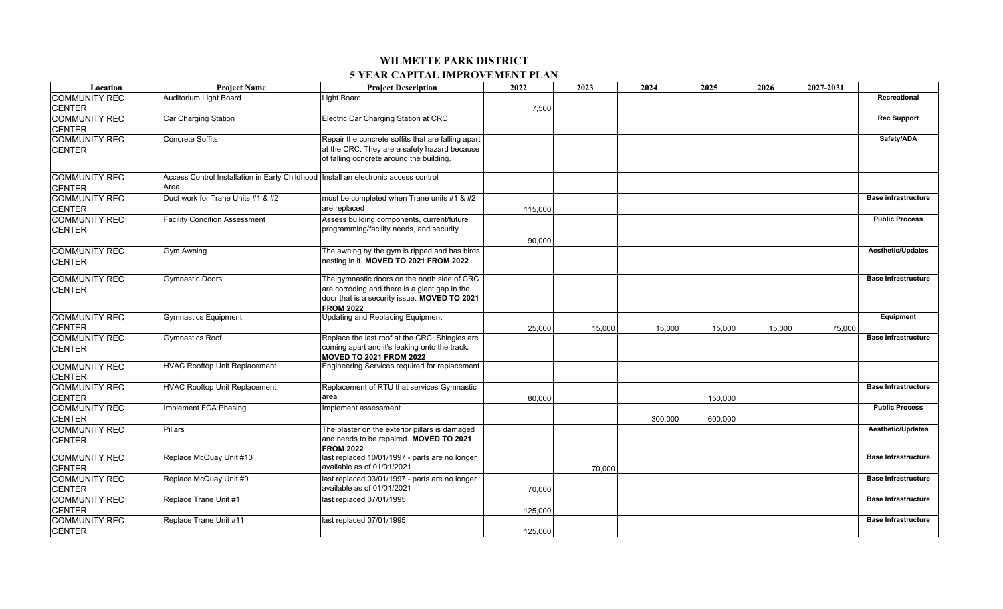| Location             | <b>Project Name</b>                                                                   | <b>Project Description</b>                                       | 2022    | 2023   | 2024    | 2025    | 2026   | 2027-2031 |                            |
|----------------------|---------------------------------------------------------------------------------------|------------------------------------------------------------------|---------|--------|---------|---------|--------|-----------|----------------------------|
| <b>COMMUNITY REC</b> | Auditorium Light Board                                                                | Light Board                                                      |         |        |         |         |        |           | Recreational               |
| <b>CENTER</b>        |                                                                                       |                                                                  | 7,500   |        |         |         |        |           |                            |
| <b>COMMUNITY REC</b> | Car Charging Station                                                                  | Electric Car Charging Station at CRC                             |         |        |         |         |        |           | <b>Rec Support</b>         |
| <b>CENTER</b>        |                                                                                       |                                                                  |         |        |         |         |        |           |                            |
| <b>COMMUNITY REC</b> | Concrete Soffits                                                                      | Repair the concrete soffits that are falling apart               |         |        |         |         |        |           | Safety/ADA                 |
| <b>CENTER</b>        |                                                                                       | at the CRC. They are a safety hazard because                     |         |        |         |         |        |           |                            |
|                      |                                                                                       | of falling concrete around the building.                         |         |        |         |         |        |           |                            |
| <b>COMMUNITY REC</b> | Access Control Installation in Early Childhood   Install an electronic access control |                                                                  |         |        |         |         |        |           |                            |
| <b>CENTER</b>        | Area                                                                                  |                                                                  |         |        |         |         |        |           |                            |
| <b>COMMUNITY REC</b> | Duct work for Trane Units #1 & #2                                                     | must be completed when Trane units #1 & #2                       |         |        |         |         |        |           | <b>Base infrastructure</b> |
| <b>CENTER</b>        |                                                                                       | are replaced                                                     | 115,000 |        |         |         |        |           |                            |
| <b>COMMUNITY REC</b> | <b>Facility Condition Assessment</b>                                                  | Assess building components, current/future                       |         |        |         |         |        |           | <b>Public Process</b>      |
| <b>CENTER</b>        |                                                                                       | programming/facility needs, and security                         |         |        |         |         |        |           |                            |
|                      |                                                                                       |                                                                  | 90.000  |        |         |         |        |           |                            |
| <b>COMMUNITY REC</b> | Gym Awning                                                                            | The awning by the gym is ripped and has birds                    |         |        |         |         |        |           | Aesthetic/Updates          |
| <b>CENTER</b>        |                                                                                       | nesting in it. MOVED TO 2021 FROM 2022                           |         |        |         |         |        |           |                            |
|                      |                                                                                       |                                                                  |         |        |         |         |        |           |                            |
| <b>COMMUNITY REC</b> | Gymnastic Doors                                                                       | The gymnastic doors on the north side of CRC                     |         |        |         |         |        |           | <b>Base Infrastructure</b> |
| <b>CENTER</b>        |                                                                                       | are corroding and there is a giant gap in the                    |         |        |         |         |        |           |                            |
|                      |                                                                                       | door that is a security issue. MOVED TO 2021<br><b>FROM 2022</b> |         |        |         |         |        |           |                            |
| <b>COMMUNITY REC</b> | <b>Gymnastics Equipment</b>                                                           | <b>Updating and Replacing Equipment</b>                          |         |        |         |         |        |           | Equipment                  |
| <b>CENTER</b>        |                                                                                       |                                                                  | 25.000  | 15,000 | 15,000  | 15,000  | 15.000 | 75,000    |                            |
| <b>COMMUNITY REC</b> | Gymnastics Roof                                                                       | Replace the last roof at the CRC. Shingles are                   |         |        |         |         |        |           | <b>Base Infrastructure</b> |
| <b>CENTER</b>        |                                                                                       | coming apart and it's leaking onto the track.                    |         |        |         |         |        |           |                            |
|                      |                                                                                       | <b>MOVED TO 2021 FROM 2022</b>                                   |         |        |         |         |        |           |                            |
| <b>COMMUNITY REC</b> | <b>HVAC Rooftop Unit Replacement</b>                                                  | Engineering Services required for replacement                    |         |        |         |         |        |           |                            |
| <b>CENTER</b>        |                                                                                       |                                                                  |         |        |         |         |        |           |                            |
| <b>COMMUNITY REC</b> | <b>HVAC Rooftop Unit Replacement</b>                                                  | Replacement of RTU that services Gymnastic                       |         |        |         |         |        |           | <b>Base Infrastructure</b> |
| <b>CENTER</b>        |                                                                                       | area                                                             | 80.000  |        |         | 150.000 |        |           |                            |
| <b>COMMUNITY REC</b> | Implement FCA Phasing                                                                 | Implement assessment                                             |         |        |         |         |        |           | <b>Public Process</b>      |
| <b>CENTER</b>        |                                                                                       |                                                                  |         |        | 300.000 | 600,000 |        |           |                            |
| <b>COMMUNITY REC</b> | Pillars                                                                               | The plaster on the exterior pillars is damaged                   |         |        |         |         |        |           | <b>Aesthetic/Updates</b>   |
| <b>CENTER</b>        |                                                                                       | and needs to be repaired. MOVED TO 2021                          |         |        |         |         |        |           |                            |
|                      |                                                                                       | <b>FROM 2022</b>                                                 |         |        |         |         |        |           |                            |
| <b>COMMUNITY REC</b> | Replace McQuay Unit #10                                                               | last replaced 10/01/1997 - parts are no longer                   |         |        |         |         |        |           | <b>Base Infrastructure</b> |
| <b>CENTER</b>        |                                                                                       | available as of 01/01/2021                                       |         | 70,000 |         |         |        |           |                            |
| <b>COMMUNITY REC</b> | Replace McQuay Unit #9                                                                | last replaced 03/01/1997 - parts are no longer                   |         |        |         |         |        |           | <b>Base Infrastructure</b> |
| <b>CENTER</b>        |                                                                                       | available as of 01/01/2021                                       | 70.000  |        |         |         |        |           |                            |
| <b>COMMUNITY REC</b> | Replace Trane Unit #1                                                                 | last replaced 07/01/1995                                         |         |        |         |         |        |           | <b>Base Infrastructure</b> |
| <b>CENTER</b>        |                                                                                       |                                                                  | 125,000 |        |         |         |        |           |                            |
| <b>COMMUNITY REC</b> | Replace Trane Unit #11                                                                | last replaced 07/01/1995                                         |         |        |         |         |        |           | <b>Base Infrastructure</b> |
| <b>CENTER</b>        |                                                                                       |                                                                  | 125,000 |        |         |         |        |           |                            |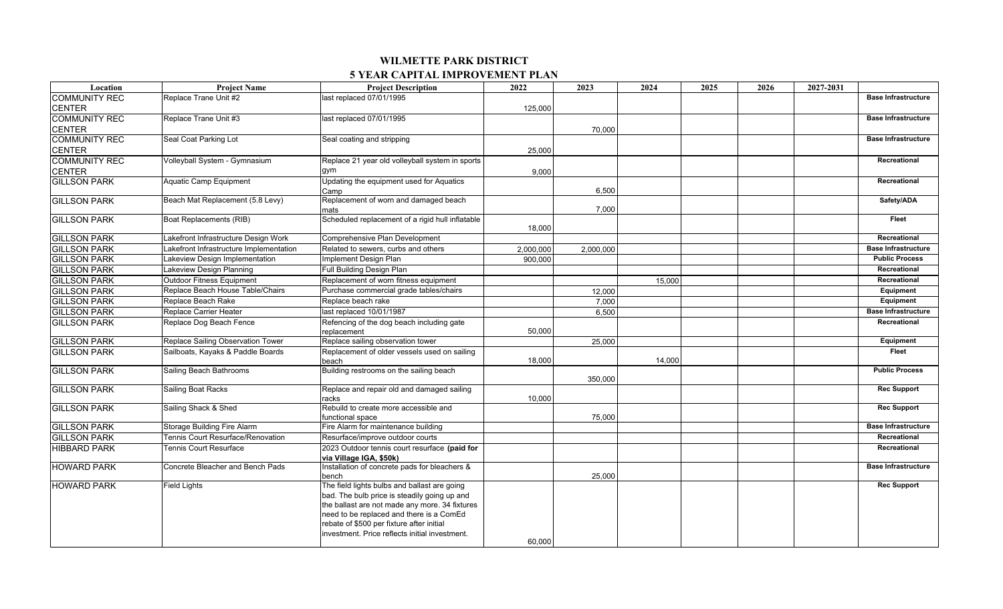| Location             | <b>Project Name</b>                     | <b>Project Description</b>                               | 2022      | 2023      | 2024   | 2025 | 2026 | 2027-2031                  |
|----------------------|-----------------------------------------|----------------------------------------------------------|-----------|-----------|--------|------|------|----------------------------|
| <b>COMMUNITY REC</b> | Replace Trane Unit #2                   | last replaced 07/01/1995                                 |           |           |        |      |      | <b>Base Infrastructure</b> |
| <b>CENTER</b>        |                                         |                                                          | 125,000   |           |        |      |      |                            |
| <b>COMMUNITY REC</b> | Replace Trane Unit #3                   | last replaced 07/01/1995                                 |           |           |        |      |      | <b>Base Infrastructure</b> |
| <b>CENTER</b>        |                                         |                                                          |           | 70,000    |        |      |      |                            |
| <b>COMMUNITY REC</b> | Seal Coat Parking Lot                   | Seal coating and stripping                               |           |           |        |      |      | <b>Base Infrastructure</b> |
| <b>CENTER</b>        |                                         |                                                          | 25,000    |           |        |      |      |                            |
| <b>COMMUNITY REC</b> | Volleyball System - Gymnasium           | Replace 21 year old volleyball system in sports          |           |           |        |      |      | Recreational               |
| <b>CENTER</b>        |                                         | gym                                                      | 9,000     |           |        |      |      |                            |
| <b>GILLSON PARK</b>  | Aquatic Camp Equipment                  | Updating the equipment used for Aquatics                 |           |           |        |      |      | Recreational               |
|                      |                                         | Camp                                                     |           | 6,500     |        |      |      |                            |
| <b>GILLSON PARK</b>  | Beach Mat Replacement (5.8 Levy)        | Replacement of worn and damaged beach                    |           |           |        |      |      | Safety/ADA                 |
|                      |                                         | mats<br>Scheduled replacement of a rigid hull inflatable |           | 7,000     |        |      |      | Fleet                      |
| <b>GILLSON PARK</b>  | Boat Replacements (RIB)                 |                                                          | 18,000    |           |        |      |      |                            |
| <b>GILLSON PARK</b>  | Lakefront Infrastructure Design Work    | Comprehensive Plan Development                           |           |           |        |      |      | Recreational               |
| <b>GILLSON PARK</b>  | Lakefront Infrastructure Implementation | Related to sewers, curbs and others                      | 2,000,000 | 2,000,000 |        |      |      | <b>Base Infrastructure</b> |
| <b>GILLSON PARK</b>  | Lakeview Design Implementation          | Implement Design Plan                                    | 900.000   |           |        |      |      | <b>Public Process</b>      |
| <b>GILLSON PARK</b>  | Lakeview Design Planning                | Full Building Design Plan                                |           |           |        |      |      | Recreational               |
| <b>GILLSON PARK</b>  | Outdoor Fitness Equipment               | Replacement of worn fitness equipment                    |           |           | 15,000 |      |      | Recreational               |
| <b>GILLSON PARK</b>  | Replace Beach House Table/Chairs        | Purchase commercial grade tables/chairs                  |           | 12,000    |        |      |      | Equipment                  |
| <b>GILLSON PARK</b>  | Replace Beach Rake                      | Replace beach rake                                       |           | 7,000     |        |      |      | Equipment                  |
| <b>GILLSON PARK</b>  | Replace Carrier Heater                  | last replaced 10/01/1987                                 |           | 6,500     |        |      |      | <b>Base Infrastructure</b> |
| <b>GILLSON PARK</b>  | Replace Dog Beach Fence                 | Refencing of the dog beach including gate                |           |           |        |      |      | Recreational               |
|                      |                                         | replacement                                              | 50,000    |           |        |      |      |                            |
| <b>GILLSON PARK</b>  | Replace Sailing Observation Tower       | Replace sailing observation tower                        |           | 25,000    |        |      |      | Equipment                  |
| <b>GILLSON PARK</b>  | Sailboats, Kayaks & Paddle Boards       | Replacement of older vessels used on sailing             |           |           |        |      |      | Fleet                      |
|                      |                                         | beach                                                    | 18,000    |           | 14,000 |      |      |                            |
| <b>GILLSON PARK</b>  | Sailing Beach Bathrooms                 | Building restrooms on the sailing beach                  |           | 350,000   |        |      |      | <b>Public Process</b>      |
| <b>GILLSON PARK</b>  | Sailing Boat Racks                      | Replace and repair old and damaged sailing               |           |           |        |      |      | <b>Rec Support</b>         |
|                      |                                         | racks                                                    | 10,000    |           |        |      |      |                            |
| <b>GILLSON PARK</b>  | Sailing Shack & Shed                    | Rebuild to create more accessible and                    |           |           |        |      |      | <b>Rec Support</b>         |
|                      |                                         | functional space                                         |           | 75,000    |        |      |      |                            |
| <b>GILLSON PARK</b>  | Storage Building Fire Alarm             | Fire Alarm for maintenance building                      |           |           |        |      |      | <b>Base Infrastructure</b> |
| <b>GILLSON PARK</b>  | Tennis Court Resurface/Renovation       | Resurface/improve outdoor courts                         |           |           |        |      |      | Recreational               |
| <b>HIBBARD PARK</b>  | Tennis Court Resurface                  | 2023 Outdoor tennis court resurface (paid for            |           |           |        |      |      | Recreational               |
|                      |                                         | via Village IGA, \$50k)                                  |           |           |        |      |      |                            |
| <b>HOWARD PARK</b>   | Concrete Bleacher and Bench Pads        | Installation of concrete pads for bleachers &<br>bench   |           | 25,000    |        |      |      | <b>Base Infrastructure</b> |
| <b>HOWARD PARK</b>   | <b>Field Lights</b>                     | The field lights bulbs and ballast are going             |           |           |        |      |      | <b>Rec Support</b>         |
|                      |                                         | bad. The bulb price is steadily going up and             |           |           |        |      |      |                            |
|                      |                                         | the ballast are not made any more. 34 fixtures           |           |           |        |      |      |                            |
|                      |                                         | need to be replaced and there is a ComEd                 |           |           |        |      |      |                            |
|                      |                                         | rebate of \$500 per fixture after initial                |           |           |        |      |      |                            |
|                      |                                         | investment. Price reflects initial investment.           |           |           |        |      |      |                            |
|                      |                                         |                                                          | 60.000    |           |        |      |      |                            |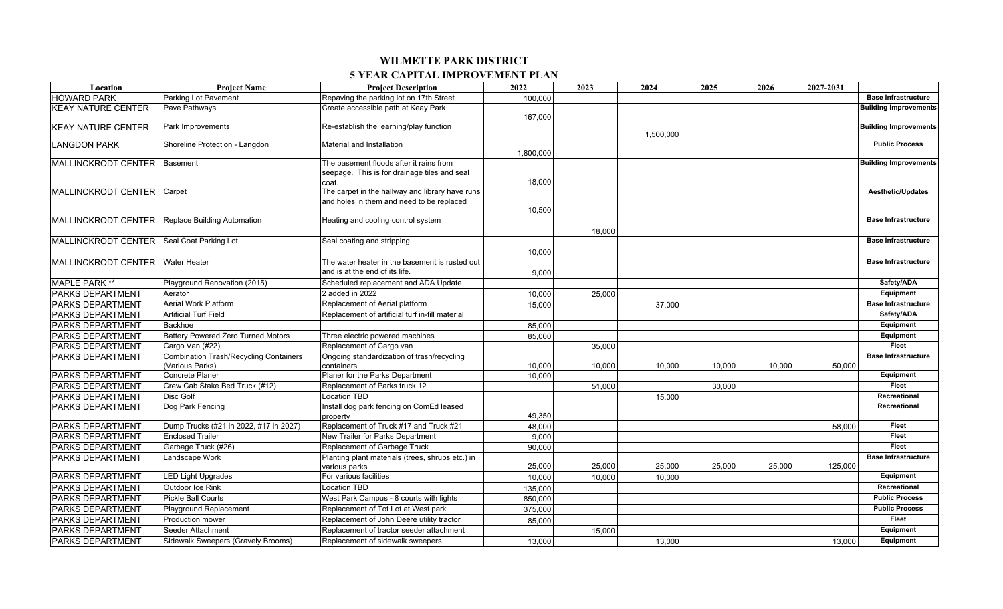| Location                                  | <b>Project Name</b>                                              | <b>Project Description</b>                                                                       | 2022      | 2023   | 2024      | 2025   | 2026   | 2027-2031 |                              |
|-------------------------------------------|------------------------------------------------------------------|--------------------------------------------------------------------------------------------------|-----------|--------|-----------|--------|--------|-----------|------------------------------|
| <b>HOWARD PARK</b>                        | <b>Parking Lot Pavement</b>                                      | Repaving the parking lot on 17th Street                                                          | 100.000   |        |           |        |        |           | <b>Base Infrastructure</b>   |
| <b>KEAY NATURE CENTER</b>                 | Pave Pathways                                                    | Create accessible path at Keay Park                                                              | 167,000   |        |           |        |        |           | <b>Building Improvements</b> |
| <b>KEAY NATURE CENTER</b>                 | Park Improvements                                                | Re-establish the learning/play function                                                          |           |        | 1.500.000 |        |        |           | <b>Building Improvements</b> |
| <b>LANGDON PARK</b>                       | Shoreline Protection - Langdon                                   | Material and Installation                                                                        | 1.800.000 |        |           |        |        |           | <b>Public Process</b>        |
| <b>MALLINCKRODT CENTER</b>                | Basement                                                         | The basement floods after it rains from<br>seepage. This is for drainage tiles and seal<br>coat. | 18,000    |        |           |        |        |           | <b>Building Improvements</b> |
| MALLINCKRODT CENTER Carpet                |                                                                  | The carpet in the hallway and library have runs<br>and holes in them and need to be replaced     | 10.500    |        |           |        |        |           | <b>Aesthetic/Updates</b>     |
| <b>MALLINCKRODT CENTER</b>                | Replace Building Automation                                      | Heating and cooling control system                                                               |           | 18,000 |           |        |        |           | <b>Base Infrastructure</b>   |
| MALLINCKRODT CENTER Seal Coat Parking Lot |                                                                  | Seal coating and stripping                                                                       | 10,000    |        |           |        |        |           | <b>Base Infrastructure</b>   |
| <b>MALLINCKRODT CENTER</b>                | <b>Water Heater</b>                                              | The water heater in the basement is rusted out<br>and is at the end of its life.                 | 9,000     |        |           |        |        |           | <b>Base Infrastructure</b>   |
| <b>MAPLE PARK **</b>                      | Playground Renovation (2015)                                     | Scheduled replacement and ADA Update                                                             |           |        |           |        |        |           | Safety/ADA                   |
| <b>PARKS DEPARTMENT</b>                   | Aerator                                                          | 2 added in 2022                                                                                  | 10,000    | 25,000 |           |        |        |           | Equipment                    |
| <b>PARKS DEPARTMENT</b>                   | <b>Aerial Work Platform</b>                                      | Replacement of Aerial platform                                                                   | 15.000    |        | 37.000    |        |        |           | <b>Base Infrastructure</b>   |
| <b>PARKS DEPARTMENT</b>                   | <b>Artificial Turf Field</b>                                     | Replacement of artificial turf in-fill material                                                  |           |        |           |        |        |           | Safety/ADA                   |
| <b>PARKS DEPARTMENT</b>                   | Backhoe                                                          |                                                                                                  | 85,000    |        |           |        |        |           | Equipment                    |
| <b>PARKS DEPARTMENT</b>                   | <b>Battery Powered Zero Turned Motors</b>                        | Three electric powered machines                                                                  | 85.000    |        |           |        |        |           | Equipment                    |
| <b>PARKS DEPARTMENT</b>                   | Cargo Van (#22)                                                  | Replacement of Cargo van                                                                         |           | 35,000 |           |        |        |           | Fleet                        |
| <b>PARKS DEPARTMENT</b>                   | <b>Combination Trash/Recycling Containers</b><br>(Various Parks) | Ongoing standardization of trash/recycling<br>containers                                         | 10,000    | 10,000 | 10,000    | 10,000 | 10,000 | 50,000    | <b>Base Infrastructure</b>   |
| <b>PARKS DEPARTMENT</b>                   | Concrete Planer                                                  | Planer for the Parks Department                                                                  | 10.000    |        |           |        |        |           | Equipment                    |
| <b>PARKS DEPARTMENT</b>                   | Crew Cab Stake Bed Truck (#12)                                   | Replacement of Parks truck 12                                                                    |           | 51,000 |           | 30,000 |        |           | <b>Fleet</b>                 |
| <b>PARKS DEPARTMENT</b>                   | <b>Disc Golf</b>                                                 | <b>Location TBD</b>                                                                              |           |        | 15,000    |        |        |           | Recreational                 |
| <b>PARKS DEPARTMENT</b>                   | Dog Park Fencing                                                 | Install dog park fencing on ComEd leased<br>property                                             | 49,350    |        |           |        |        |           | Recreational                 |
| <b>PARKS DEPARTMENT</b>                   | Dump Trucks (#21 in 2022, #17 in 2027)                           | Replacement of Truck #17 and Truck #21                                                           | 48,000    |        |           |        |        | 58,000    | <b>Fleet</b>                 |
| <b>PARKS DEPARTMENT</b>                   | <b>Enclosed Trailer</b>                                          | New Trailer for Parks Department                                                                 | 9,000     |        |           |        |        |           | <b>Fleet</b>                 |
| <b>PARKS DEPARTMENT</b>                   | Garbage Truck (#26)                                              | Replacement of Garbage Truck                                                                     | 90,000    |        |           |        |        |           | <b>Fleet</b>                 |
| <b>PARKS DEPARTMENT</b>                   | Landscape Work                                                   | Planting plant materials (trees, shrubs etc.) in<br>various parks                                | 25,000    | 25,000 | 25,000    | 25,000 | 25,000 | 125,000   | <b>Base Infrastructure</b>   |
| <b>PARKS DEPARTMENT</b>                   | <b>LED Light Upgrades</b>                                        | For various facilities                                                                           | 10,000    | 10,000 | 10,000    |        |        |           | Equipment                    |
| <b>PARKS DEPARTMENT</b>                   | Outdoor Ice Rink                                                 | ocation TBD                                                                                      | 135,000   |        |           |        |        |           | Recreational                 |
| <b>PARKS DEPARTMENT</b>                   | <b>Pickle Ball Courts</b>                                        | West Park Campus - 8 courts with lights                                                          | 850,000   |        |           |        |        |           | <b>Public Process</b>        |
| <b>PARKS DEPARTMENT</b>                   | Playground Replacement                                           | Replacement of Tot Lot at West park                                                              | 375,000   |        |           |        |        |           | <b>Public Process</b>        |
| <b>PARKS DEPARTMENT</b>                   | <b>Production mower</b>                                          | Replacement of John Deere utility tractor                                                        | 85,000    |        |           |        |        |           | <b>Fleet</b>                 |
| <b>PARKS DEPARTMENT</b>                   | Seeder Attachment                                                | Replacement of tractor seeder attachment                                                         |           | 15,000 |           |        |        |           | Equipment                    |
| <b>PARKS DEPARTMENT</b>                   | Sidewalk Sweepers (Gravely Brooms)                               | Replacement of sidewalk sweepers                                                                 | 13,000    |        | 13.000    |        |        | 13,000    | Equipment                    |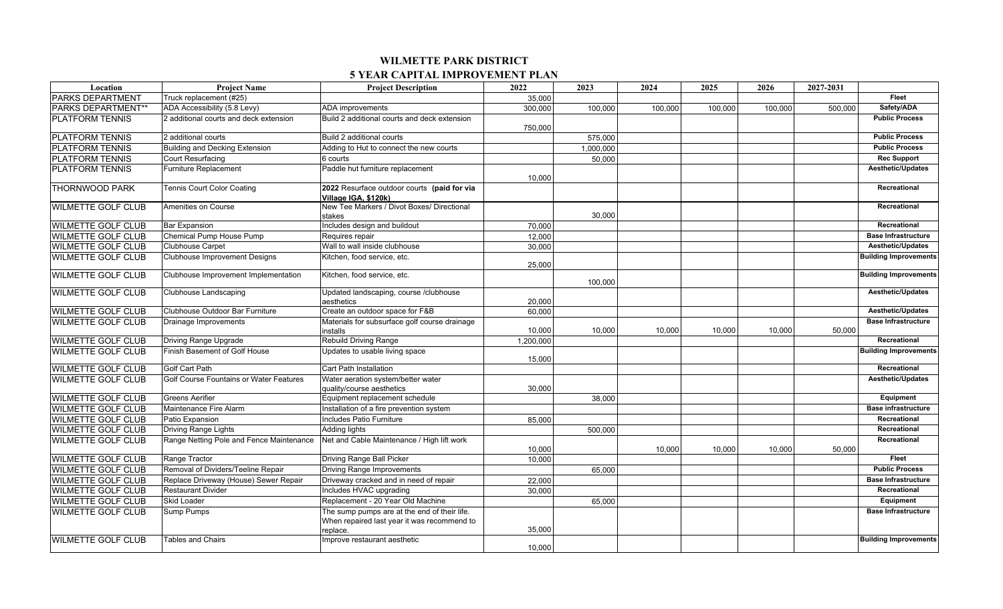| Location                   | <b>Project Name</b>                      | <b>Project Description</b>                                          | 2022      | 2023      | 2024    | 2025    | 2026    | 2027-2031 |                              |
|----------------------------|------------------------------------------|---------------------------------------------------------------------|-----------|-----------|---------|---------|---------|-----------|------------------------------|
| <b>PARKS DEPARTMENT</b>    | Truck replacement (#25)                  |                                                                     | 35,000    |           |         |         |         |           | Fleet                        |
| <b>PARKS DEPARTMENT**</b>  | ADA Accessibility (5.8 Levy)             | <b>ADA</b> improvements                                             | 300,000   | 100,000   | 100.000 | 100,000 | 100,000 | 500,000   | Safety/ADA                   |
| <b>PLATFORM TENNIS</b>     | 2 additional courts and deck extension   | Build 2 additional courts and deck extension                        |           |           |         |         |         |           | <b>Public Process</b>        |
|                            |                                          |                                                                     | 750,000   |           |         |         |         |           |                              |
| <b>PLATFORM TENNIS</b>     | 2 additional courts                      | Build 2 additional courts                                           |           | 575,000   |         |         |         |           | <b>Public Process</b>        |
| <b>PLATFORM TENNIS</b>     | Building and Decking Extension           | Adding to Hut to connect the new courts                             |           | 1,000,000 |         |         |         |           | <b>Public Process</b>        |
| <b>PLATFORM TENNIS</b>     | Court Resurfacing                        | 6 courts                                                            |           | 50,000    |         |         |         |           | <b>Rec Support</b>           |
| <b>PLATFORM TENNIS</b>     | <b>Furniture Replacement</b>             | Paddle hut furniture replacement                                    | 10,000    |           |         |         |         |           | <b>Aesthetic/Updates</b>     |
| <b>THORNWOOD PARK</b>      | <b>Tennis Court Color Coating</b>        | 2022 Resurface outdoor courts (paid for via<br>Village IGA, \$120k) |           |           |         |         |         |           | Recreational                 |
| <b>WILMETTE GOLF CLUB</b>  | Amenities on Course                      | New Tee Markers / Divot Boxes/ Directional<br>stakes                |           | 30,000    |         |         |         |           | Recreational                 |
| <b>WILMETTE GOLF CLUB</b>  | <b>Bar Expansion</b>                     | Includes design and buildout                                        | 70,000    |           |         |         |         |           | Recreational                 |
| <b>WILMETTE GOLF CLUB</b>  | Chemical Pump House Pump                 | Requires repair                                                     | 12,000    |           |         |         |         |           | <b>Base Infrastructure</b>   |
| <b>WILMETTE GOLF CLUB</b>  | <b>Clubhouse Carpet</b>                  | Wall to wall inside clubhouse                                       | 30,000    |           |         |         |         |           | <b>Aesthetic/Updates</b>     |
| <b>WILMETTE GOLF CLUB</b>  | <b>Clubhouse Improvement Designs</b>     | Kitchen, food service, etc.                                         | 25,000    |           |         |         |         |           | <b>Building Improvements</b> |
| <b>WILMETTE GOLF CLUB</b>  | Clubhouse Improvement Implementation     | Kitchen, food service, etc.                                         |           | 100,000   |         |         |         |           | <b>Building Improvements</b> |
| <b>WILMETTE GOLF CLUB</b>  | Clubhouse Landscaping                    | Updated landscaping, course /clubhouse                              |           |           |         |         |         |           | Aesthetic/Updates            |
|                            |                                          | aesthetics                                                          | 20,000    |           |         |         |         |           |                              |
| <b>WILMETTE GOLF CLUB</b>  | Clubhouse Outdoor Bar Furniture          | Create an outdoor space for F&B                                     | 60,000    |           |         |         |         |           | <b>Aesthetic/Updates</b>     |
| <b>WILMETTE GOLF CLUB</b>  | Drainage Improvements                    | Materials for subsurface golf course drainage                       |           |           |         |         |         |           | <b>Base Infrastructure</b>   |
|                            |                                          | installs                                                            | 10,000    | 10,000    | 10,000  | 10,000  | 10,000  | 50,000    | Recreational                 |
| <b>WILMETTE GOLF CLUB</b>  | <b>Driving Range Upgrade</b>             | Rebuild Driving Range                                               | 1,200,000 |           |         |         |         |           |                              |
| <b>WILMETTE GOLF CLUB</b>  | Finish Basement of Golf House            | Updates to usable living space                                      | 15,000    |           |         |         |         |           | <b>Building Improvements</b> |
| <b>WILMETTE GOLF CLUB</b>  | <b>Golf Cart Path</b>                    | Cart Path Installation                                              |           |           |         |         |         |           | Recreational                 |
| <b>WILMETTE GOLF CLUB</b>  | Golf Course Fountains or Water Features  | Water aeration system/better water                                  |           |           |         |         |         |           | <b>Aesthetic/Updates</b>     |
|                            |                                          | quality/course aesthetics                                           | 30,000    |           |         |         |         |           |                              |
| <b>WILMETTE GOLF CLUB</b>  | <b>Greens Aerifier</b>                   | Equipment replacement schedule                                      |           | 38,000    |         |         |         |           | Equipment                    |
| <b>WILMETTE GOLF CLUB</b>  | Maintenance Fire Alarm                   | Installation of a fire prevention system                            |           |           |         |         |         |           | <b>Base infrastructure</b>   |
| <b>WILMETTE GOLF CLUB</b>  | Patio Expansion                          | Includes Patio Furniture                                            | 85,000    |           |         |         |         |           | Recreational                 |
| <b>WILMETTE GOLF CLUB</b>  | <b>Driving Range Lights</b>              | <b>Adding lights</b>                                                |           | 500,000   |         |         |         |           | Recreational                 |
| <b>WILMETTE GOLF CLUB</b>  | Range Netting Pole and Fence Maintenance | Net and Cable Maintenance / High lift work                          |           |           |         |         |         |           | Recreational                 |
|                            |                                          |                                                                     | 10,000    |           | 10,000  | 10,000  | 10,000  | 50,000    |                              |
| <b>WILMETTE GOLF CLUB</b>  | Range Tractor                            | Driving Range Ball Picker                                           | 10,000    |           |         |         |         |           | <b>Fleet</b>                 |
| <b>WILMETTE GOLF CLUB</b>  | Removal of Dividers/Teeline Repair       | <b>Driving Range Improvements</b>                                   |           | 65,000    |         |         |         |           | <b>Public Process</b>        |
| <b>WILMETTE GOLF CLUB</b>  | Replace Driveway (House) Sewer Repair    | Driveway cracked and in need of repair                              | 22,000    |           |         |         |         |           | <b>Base Infrastructure</b>   |
| <b>WILMETTE GOLF CLUB</b>  | <b>Restaurant Divider</b>                | Includes HVAC upgrading                                             | 30,000    |           |         |         |         |           | Recreational                 |
| <b>WILMETTE GOLF CLUB</b>  | <b>Skid Loader</b>                       | Replacement - 20 Year Old Machine                                   |           | 65,000    |         |         |         |           | Equipment                    |
| <b>WILMETTE GOLF CLUB</b>  | <b>Sump Pumps</b>                        | The sump pumps are at the end of their life.                        |           |           |         |         |         |           | <b>Base Infrastructure</b>   |
|                            |                                          | When repaired last year it was recommend to                         |           |           |         |         |         |           |                              |
|                            |                                          | replace.                                                            | 35,000    |           |         |         |         |           |                              |
| <b>IWILMETTE GOLF CLUB</b> | <b>Tables and Chairs</b>                 | Improve restaurant aesthetic                                        | 10.000    |           |         |         |         |           | <b>Building Improvements</b> |